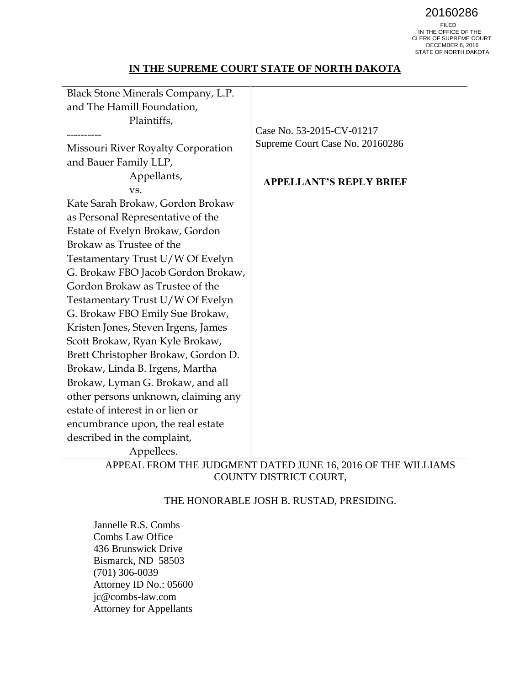20160286<br>FILED<br>IN THE OFFICE OF THE CLERK OF SUPREME COURT DECEMBER 6, 2016 STATE OF NORTH DAKOTA

## **IN THE SUPREME COURT STATE OF NORTH DAKOTA**

| Black Stone Minerals Company, L.P.  |                                                              |
|-------------------------------------|--------------------------------------------------------------|
| and The Hamill Foundation,          |                                                              |
| Plaintiffs,                         |                                                              |
|                                     | Case No. 53-2015-CV-01217                                    |
| Missouri River Royalty Corporation  | Supreme Court Case No. 20160286                              |
| and Bauer Family LLP,               |                                                              |
| Appellants,                         | <b>APPELLANT'S REPLY BRIEF</b>                               |
| VS.                                 |                                                              |
| Kate Sarah Brokaw, Gordon Brokaw    |                                                              |
| as Personal Representative of the   |                                                              |
| Estate of Evelyn Brokaw, Gordon     |                                                              |
| Brokaw as Trustee of the            |                                                              |
| Testamentary Trust U/W Of Evelyn    |                                                              |
| G. Brokaw FBO Jacob Gordon Brokaw,  |                                                              |
| Gordon Brokaw as Trustee of the     |                                                              |
| Testamentary Trust U/W Of Evelyn    |                                                              |
| G. Brokaw FBO Emily Sue Brokaw,     |                                                              |
| Kristen Jones, Steven Irgens, James |                                                              |
| Scott Brokaw, Ryan Kyle Brokaw,     |                                                              |
| Brett Christopher Brokaw, Gordon D. |                                                              |
| Brokaw, Linda B. Irgens, Martha     |                                                              |
| Brokaw, Lyman G. Brokaw, and all    |                                                              |
| other persons unknown, claiming any |                                                              |
| estate of interest in or lien or    |                                                              |
| encumbrance upon, the real estate   |                                                              |
| described in the complaint,         |                                                              |
| Appellees.                          |                                                              |
|                                     | APPEAL FROM THE JUDGMENT DATED JUNE 16, 2016 OF THE WILLIAMS |

APPEAL FROM THE JUDGMENT DATED JUNE 16, 2016 OF THE WILLIAMS COUNTY DISTRICT COURT,

### THE HONORABLE JOSH B. RUSTAD, PRESIDING.

Jannelle R.S. Combs Combs Law Office 436 Brunswick Drive Bismarck, ND 58503 (701) 306-0039 Attorney ID No.: 05600 jc@combs-law.com Attorney for Appellants

 $\overline{\phantom{0}}$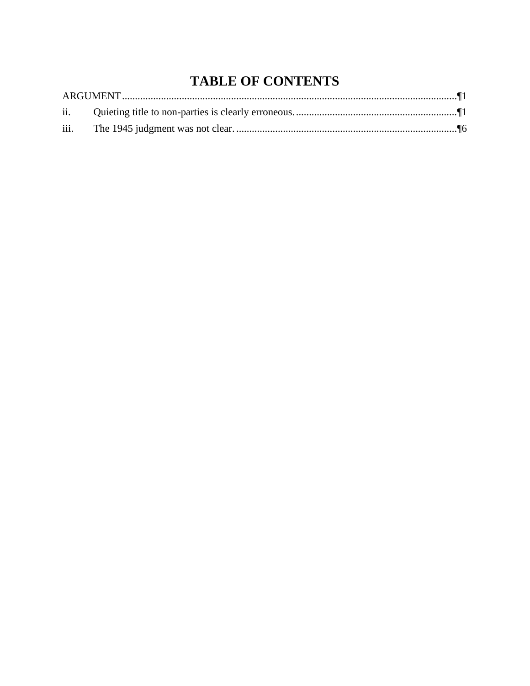# **TABLE OF CONTENTS**

| iii. |  |
|------|--|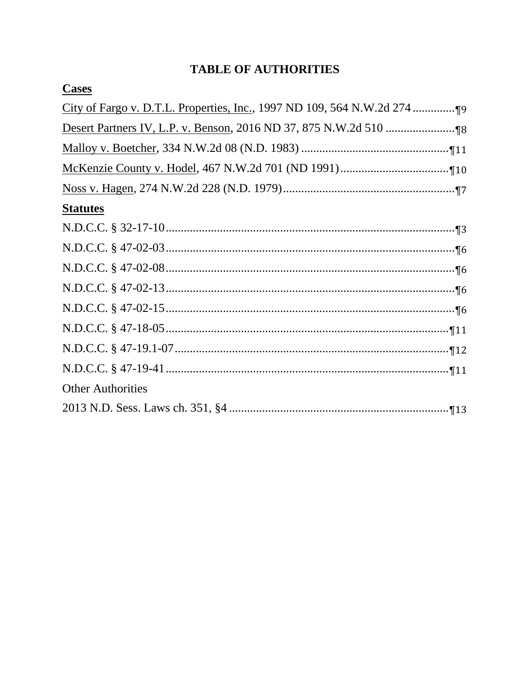## **TABLE OF AUTHORITIES**

| <b>Statutes</b>          |
|--------------------------|
|                          |
|                          |
|                          |
|                          |
|                          |
|                          |
|                          |
|                          |
| <b>Other Authorities</b> |
|                          |
|                          |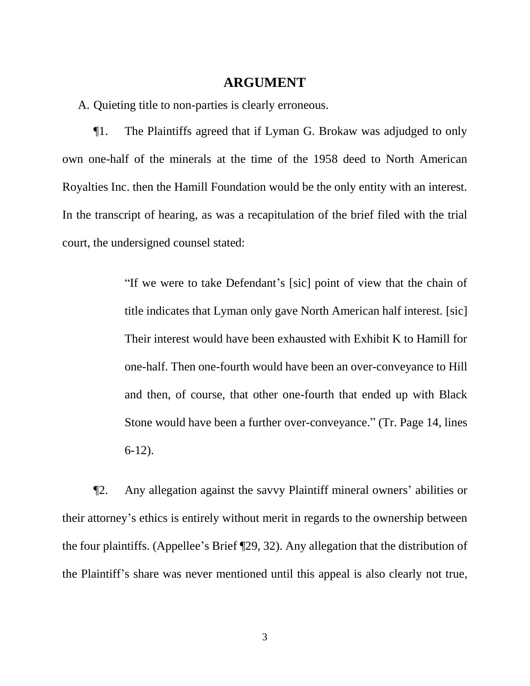## **ARGUMENT**

A. Quieting title to non-parties is clearly erroneous.

¶1. The Plaintiffs agreed that if Lyman G. Brokaw was adjudged to only own one-half of the minerals at the time of the 1958 deed to North American Royalties Inc. then the Hamill Foundation would be the only entity with an interest. In the transcript of hearing, as was a recapitulation of the brief filed with the trial court, the undersigned counsel stated:

> "If we were to take Defendant's [sic] point of view that the chain of title indicates that Lyman only gave North American half interest. [sic] Their interest would have been exhausted with Exhibit K to Hamill for one-half. Then one-fourth would have been an over-conveyance to Hill and then, of course, that other one-fourth that ended up with Black Stone would have been a further over-conveyance." (Tr. Page 14, lines 6-12).

¶2. Any allegation against the savvy Plaintiff mineral owners' abilities or their attorney's ethics is entirely without merit in regards to the ownership between the four plaintiffs. (Appellee's Brief ¶29, 32). Any allegation that the distribution of the Plaintiff's share was never mentioned until this appeal is also clearly not true,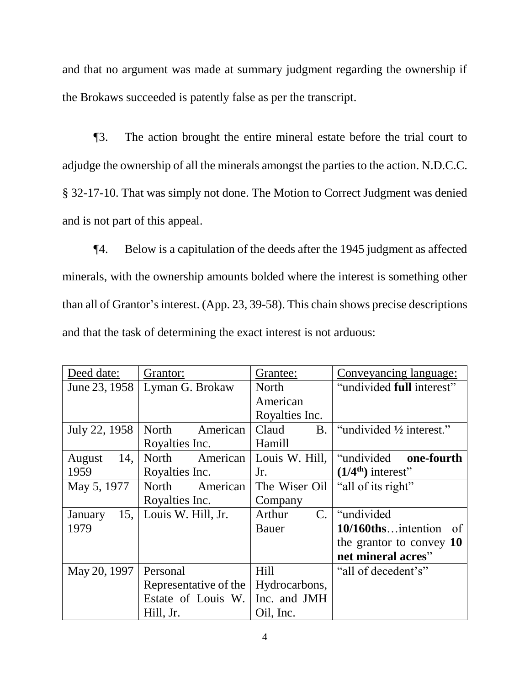and that no argument was made at summary judgment regarding the ownership if the Brokaws succeeded is patently false as per the transcript.

¶3. The action brought the entire mineral estate before the trial court to adjudge the ownership of all the minerals amongst the parties to the action. N.D.C.C. § 32-17-10. That was simply not done. The Motion to Correct Judgment was denied and is not part of this appeal.

¶4. Below is a capitulation of the deeds after the 1945 judgment as affected minerals, with the ownership amounts bolded where the interest is something other than all of Grantor's interest. (App. 23, 39-58). This chain shows precise descriptions and that the task of determining the exact interest is not arduous:

| Deed date:     | Grantor:              | Grantee:                 | Conveyancing language:    |
|----------------|-----------------------|--------------------------|---------------------------|
| June 23, 1958  | Lyman G. Brokaw       | North                    | "undivided full interest" |
|                |                       | American                 |                           |
|                |                       | Royalties Inc.           |                           |
| July 22, 1958  | North<br>American     | Claud<br><b>B.</b>       | "undivided 1/2 interest." |
|                | Royalties Inc.        | Hamill                   |                           |
| 14,<br>August  | North<br>American     | Louis W. Hill,           | "undivided one-fourth     |
| 1959           | Royalties Inc.        | Jr.                      | $(1/4th)$ interest"       |
| May 5, 1977    | American<br>North     | The Wiser Oil            | "all of its right"        |
|                | Royalties Inc.        | Company                  |                           |
| 15,<br>January | Louis W. Hill, Jr.    | $\mathbf{C}$ .<br>Arthur | "undivided"               |
| 1979           |                       | Bauer                    | 10/160thsintention of     |
|                |                       |                          | the grantor to convey 10  |
|                |                       |                          | net mineral acres"        |
| May 20, 1997   | Personal              | Hill                     | "all of decedent's"       |
|                | Representative of the | Hydrocarbons,            |                           |
|                | Estate of Louis W.    | Inc. and JMH             |                           |
|                | Hill, Jr.             | Oil, Inc.                |                           |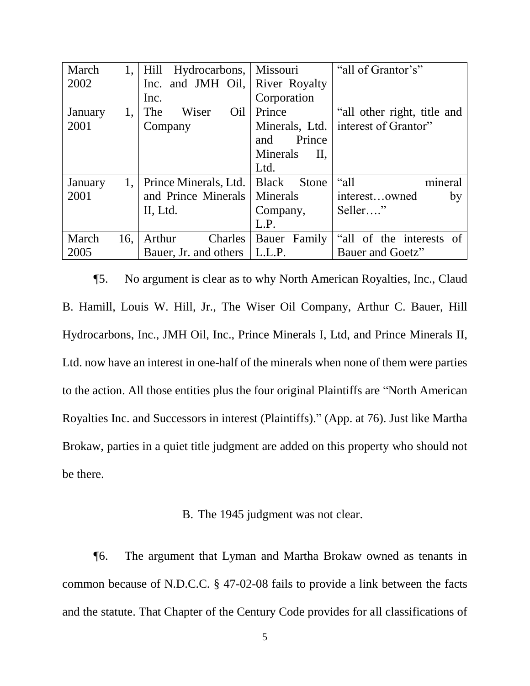| March   | 1.  | Hydrocarbons, Missouri<br>Hill  |                       | "all of Grantor's"          |
|---------|-----|---------------------------------|-----------------------|-----------------------------|
| 2002    |     | Inc. and JMH Oil, River Royalty |                       |                             |
|         |     | Inc.                            | Corporation           |                             |
| January | 1,  | Wiser<br>Oil<br>The             | Prince                | "all other right, title and |
| 2001    |     | Company                         | Minerals, Ltd.        | interest of Grantor"        |
|         |     |                                 | Prince<br>and         |                             |
|         |     |                                 | Minerals<br>П.        |                             |
|         |     |                                 | Ltd.                  |                             |
| January | 1.  | Prince Minerals, Ltd.           | <b>Black</b><br>Stone | mineral<br>"all             |
| 2001    |     | and Prince Minerals             | Minerals              | interestowned<br>by         |
|         |     | II, Ltd.                        | Company,              | Seller"                     |
|         |     |                                 | L.P.                  |                             |
| March   | 16, | Arthur<br><b>Charles</b>        | Bauer Family          | "all of the interests of    |
| 2005    |     | Bauer, Jr. and others           | L.L.P.                | Bauer and Goetz"            |

¶5. No argument is clear as to why North American Royalties, Inc., Claud B. Hamill, Louis W. Hill, Jr., The Wiser Oil Company, Arthur C. Bauer, Hill Hydrocarbons, Inc., JMH Oil, Inc., Prince Minerals I, Ltd, and Prince Minerals II, Ltd. now have an interest in one-half of the minerals when none of them were parties to the action. All those entities plus the four original Plaintiffs are "North American Royalties Inc. and Successors in interest (Plaintiffs)." (App. at 76). Just like Martha Brokaw, parties in a quiet title judgment are added on this property who should not be there.

## B. The 1945 judgment was not clear.

¶6. The argument that Lyman and Martha Brokaw owned as tenants in common because of N.D.C.C. § 47-02-08 fails to provide a link between the facts and the statute. That Chapter of the Century Code provides for all classifications of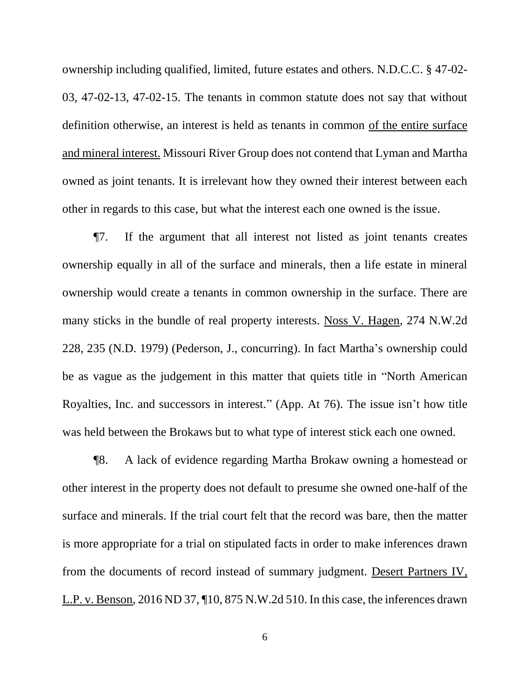ownership including qualified, limited, future estates and others. N.D.C.C. § 47-02- 03, 47-02-13, 47-02-15. The tenants in common statute does not say that without definition otherwise, an interest is held as tenants in common of the entire surface and mineral interest. Missouri River Group does not contend that Lyman and Martha owned as joint tenants. It is irrelevant how they owned their interest between each other in regards to this case, but what the interest each one owned is the issue.

¶7. If the argument that all interest not listed as joint tenants creates ownership equally in all of the surface and minerals, then a life estate in mineral ownership would create a tenants in common ownership in the surface. There are many sticks in the bundle of real property interests. Noss V. Hagen, 274 N.W.2d 228, 235 (N.D. 1979) (Pederson, J., concurring). In fact Martha's ownership could be as vague as the judgement in this matter that quiets title in "North American Royalties, Inc. and successors in interest." (App. At 76). The issue isn't how title was held between the Brokaws but to what type of interest stick each one owned.

¶8. A lack of evidence regarding Martha Brokaw owning a homestead or other interest in the property does not default to presume she owned one-half of the surface and minerals. If the trial court felt that the record was bare, then the matter is more appropriate for a trial on stipulated facts in order to make inferences drawn from the documents of record instead of summary judgment. Desert Partners IV, L.P. v. Benson, 2016 ND 37, ¶10, 875 N.W.2d 510. In this case, the inferences drawn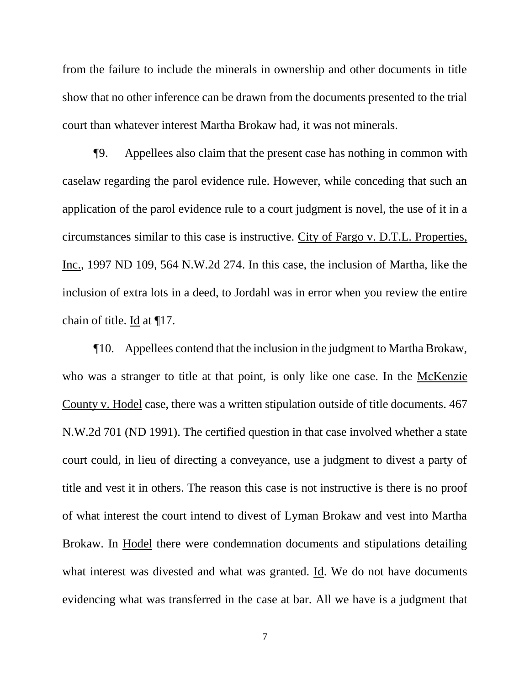from the failure to include the minerals in ownership and other documents in title show that no other inference can be drawn from the documents presented to the trial court than whatever interest Martha Brokaw had, it was not minerals.

¶9. Appellees also claim that the present case has nothing in common with caselaw regarding the parol evidence rule. However, while conceding that such an application of the parol evidence rule to a court judgment is novel, the use of it in a circumstances similar to this case is instructive. City of Fargo v. D.T.L. Properties, Inc., 1997 ND 109, 564 N.W.2d 274. In this case, the inclusion of Martha, like the inclusion of extra lots in a deed, to Jordahl was in error when you review the entire chain of title. Id at ¶17.

¶10. Appellees contend that the inclusion in the judgment to Martha Brokaw, who was a stranger to title at that point, is only like one case. In the McKenzie County v. Hodel case, there was a written stipulation outside of title documents. 467 N.W.2d 701 (ND 1991). The certified question in that case involved whether a state court could, in lieu of directing a conveyance, use a judgment to divest a party of title and vest it in others. The reason this case is not instructive is there is no proof of what interest the court intend to divest of Lyman Brokaw and vest into Martha Brokaw. In Hodel there were condemnation documents and stipulations detailing what interest was divested and what was granted. Id. We do not have documents evidencing what was transferred in the case at bar. All we have is a judgment that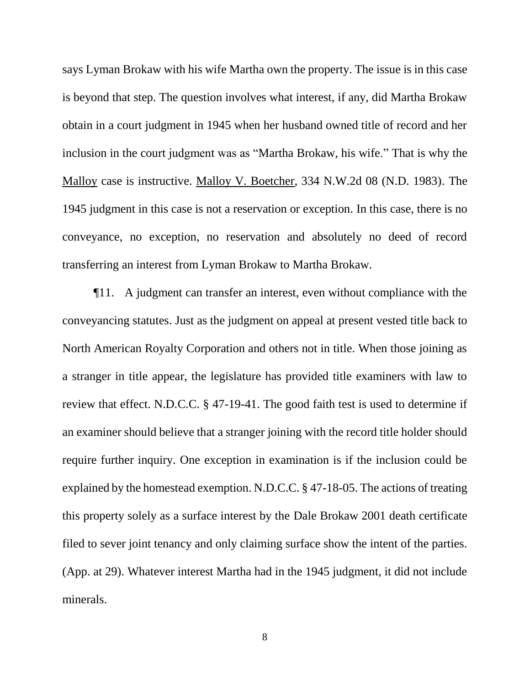says Lyman Brokaw with his wife Martha own the property. The issue is in this case is beyond that step. The question involves what interest, if any, did Martha Brokaw obtain in a court judgment in 1945 when her husband owned title of record and her inclusion in the court judgment was as "Martha Brokaw, his wife." That is why the Malloy case is instructive. Malloy V. Boetcher, 334 N.W.2d 08 (N.D. 1983). The 1945 judgment in this case is not a reservation or exception. In this case, there is no conveyance, no exception, no reservation and absolutely no deed of record transferring an interest from Lyman Brokaw to Martha Brokaw.

¶11. A judgment can transfer an interest, even without compliance with the conveyancing statutes. Just as the judgment on appeal at present vested title back to North American Royalty Corporation and others not in title. When those joining as a stranger in title appear, the legislature has provided title examiners with law to review that effect. N.D.C.C. § 47-19-41. The good faith test is used to determine if an examiner should believe that a stranger joining with the record title holder should require further inquiry. One exception in examination is if the inclusion could be explained by the homestead exemption. N.D.C.C. § 47-18-05. The actions of treating this property solely as a surface interest by the Dale Brokaw 2001 death certificate filed to sever joint tenancy and only claiming surface show the intent of the parties. (App. at 29). Whatever interest Martha had in the 1945 judgment, it did not include minerals.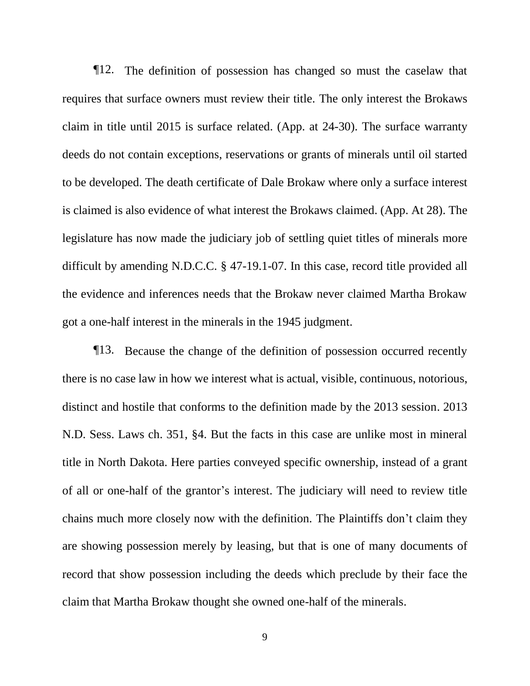¶12. The definition of possession has changed so must the caselaw that requires that surface owners must review their title. The only interest the Brokaws claim in title until 2015 is surface related. (App. at 24-30). The surface warranty deeds do not contain exceptions, reservations or grants of minerals until oil started to be developed. The death certificate of Dale Brokaw where only a surface interest is claimed is also evidence of what interest the Brokaws claimed. (App. At 28). The legislature has now made the judiciary job of settling quiet titles of minerals more difficult by amending N.D.C.C. § 47-19.1-07. In this case, record title provided all the evidence and inferences needs that the Brokaw never claimed Martha Brokaw got a one-half interest in the minerals in the 1945 judgment.

¶13. Because the change of the definition of possession occurred recently there is no case law in how we interest what is actual, visible, continuous, notorious, distinct and hostile that conforms to the definition made by the 2013 session. 2013 N.D. Sess. Laws ch. 351, §4. But the facts in this case are unlike most in mineral title in North Dakota. Here parties conveyed specific ownership, instead of a grant of all or one-half of the grantor's interest. The judiciary will need to review title chains much more closely now with the definition. The Plaintiffs don't claim they are showing possession merely by leasing, but that is one of many documents of record that show possession including the deeds which preclude by their face the claim that Martha Brokaw thought she owned one-half of the minerals.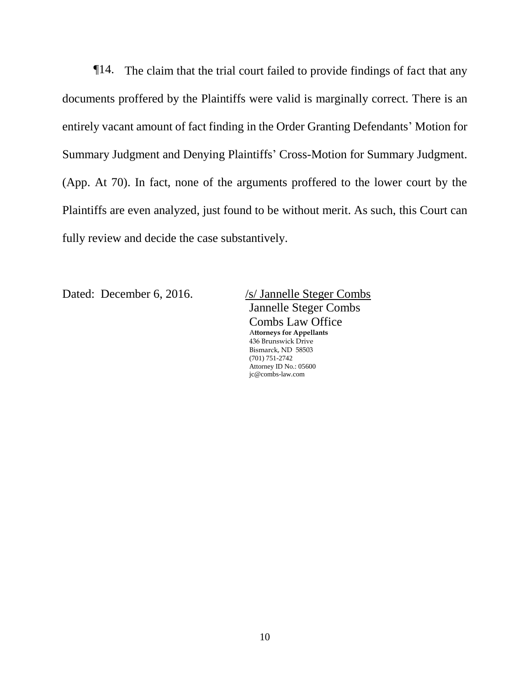¶14. The claim that the trial court failed to provide findings of fact that any documents proffered by the Plaintiffs were valid is marginally correct. There is an entirely vacant amount of fact finding in the Order Granting Defendants' Motion for Summary Judgment and Denying Plaintiffs' Cross-Motion for Summary Judgment. (App. At 70). In fact, none of the arguments proffered to the lower court by the Plaintiffs are even analyzed, just found to be without merit. As such, this Court can fully review and decide the case substantively.

Dated: December 6, 2016. /s/ Jannelle Steger Combs

Jannelle Steger Combs Combs Law Office A**ttorneys for Appellants** 436 Brunswick Drive Bismarck, ND 58503 (701) 751-2742 Attorney ID No.: 05600 jc@combs-law.com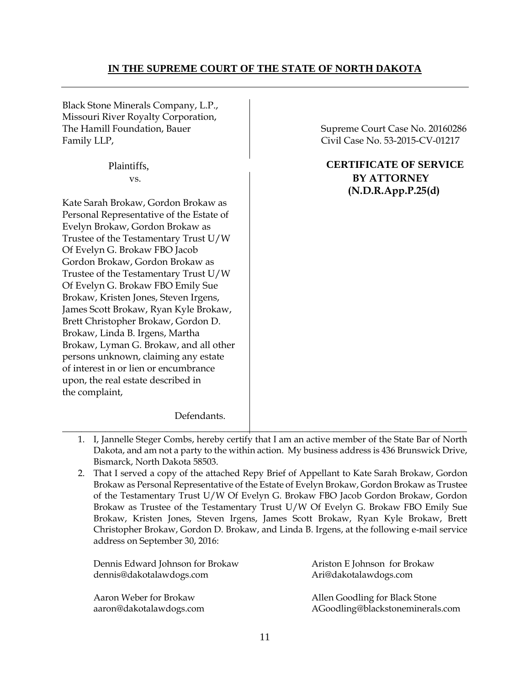## **IN THE SUPREME COURT OF THE STATE OF NORTH DAKOTA**

Black Stone Minerals Company, L.P., Missouri River Royalty Corporation, The Hamill Foundation, Bauer Supreme Court Case No. 20160286 Family LLP, Civil Case No. 53-2015-CV-01217

Kate Sarah Brokaw, Gordon Brokaw as Personal Representative of the Estate of Evelyn Brokaw, Gordon Brokaw as Trustee of the Testamentary Trust U/W Of Evelyn G. Brokaw FBO Jacob Gordon Brokaw, Gordon Brokaw as Trustee of the Testamentary Trust U/W Of Evelyn G. Brokaw FBO Emily Sue Brokaw, Kristen Jones, Steven Irgens, James Scott Brokaw, Ryan Kyle Brokaw, Brett Christopher Brokaw, Gordon D. Brokaw, Linda B. Irgens, Martha Brokaw, Lyman G. Brokaw, and all other persons unknown, claiming any estate of interest in or lien or encumbrance upon, the real estate described in the complaint,

## Plaintiffs, **CERTIFICATE OF SERVICE**  vs. **BY ATTORNEY (N.D.R.App.P.25(d)**

Defendants.

- \_\_\_\_\_\_**\_\_\_\_\_\_\_\_\_\_\_\_\_\_\_\_\_\_\_\_\_\_\_\_\_\_\_\_\_\_\_\_\_\_\_\_\_\_\_\_\_\_\_\_\_\_\_\_\_\_\_\_\_\_\_\_\_\_\_\_\_\_\_\_\_\_\_\_\_\_\_\_\_\_\_\_\_\_\_** 1. I, Jannelle Steger Combs, hereby certify that I am an active member of the State Bar of North Dakota, and am not a party to the within action. My business address is 436 Brunswick Drive, Bismarck, North Dakota 58503.
	- 2. That I served a copy of the attached Repy Brief of Appellant to Kate Sarah Brokaw, Gordon Brokaw as Personal Representative of the Estate of Evelyn Brokaw, Gordon Brokaw as Trustee of the Testamentary Trust U/W Of Evelyn G. Brokaw FBO Jacob Gordon Brokaw, Gordon Brokaw as Trustee of the Testamentary Trust U/W Of Evelyn G. Brokaw FBO Emily Sue Brokaw, Kristen Jones, Steven Irgens, James Scott Brokaw, Ryan Kyle Brokaw, Brett Christopher Brokaw, Gordon D. Brokaw, and Linda B. Irgens, at the following e-mail service address on September 30, 2016:

| Dennis Edward Johnson for Brokaw | Ariston E Johnson for Brokaw     |
|----------------------------------|----------------------------------|
| dennis@dakotalawdogs.com         | Ari@dakotalawdogs.com            |
| Aaron Weber for Brokaw           | Allen Goodling for Black Stone   |
| aaron@dakotalawdogs.com          | AGoodling@blackstoneminerals.com |